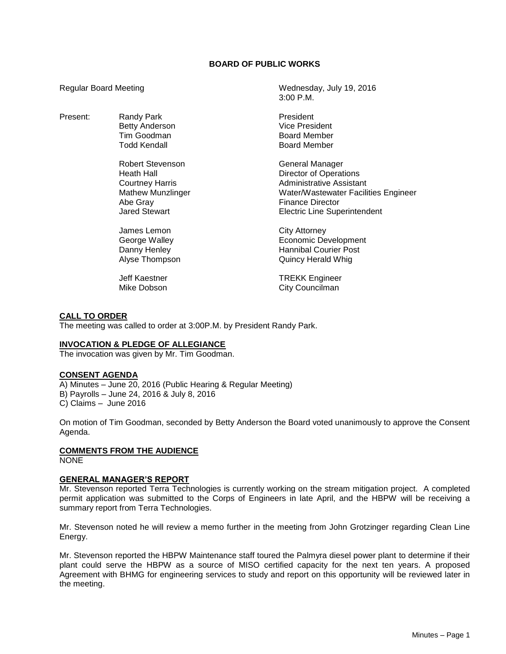# **BOARD OF PUBLIC WORKS**

3:00 P.M.

Regular Board Meeting Wednesday, July 19, 2016

| Present: | Randy Park               | President                            |
|----------|--------------------------|--------------------------------------|
|          | <b>Betty Anderson</b>    | <b>Vice President</b>                |
|          |                          |                                      |
|          | Tim Goodman              | <b>Board Member</b>                  |
|          | Todd Kendall             | <b>Board Member</b>                  |
|          | Robert Stevenson         | General Manager                      |
|          | Heath Hall               | <b>Director of Operations</b>        |
|          | <b>Courtney Harris</b>   | Administrative Assistant             |
|          | <b>Mathew Munzlinger</b> | Water/Wastewater Facilities Engineer |
|          | Abe Gray                 | <b>Finance Director</b>              |
|          | Jared Stewart            | <b>Electric Line Superintendent</b>  |
|          | James Lemon              | City Attorney                        |
|          | George Walley            | <b>Economic Development</b>          |
|          | Danny Henley             | <b>Hannibal Courier Post</b>         |
|          |                          |                                      |
|          | Alyse Thompson           | <b>Quincy Herald Whig</b>            |

Mike Dobson **City Councilman** 

Jeff Kaestner TREKK Engineer

#### **CALL TO ORDER**

The meeting was called to order at 3:00P.M. by President Randy Park.

#### **INVOCATION & PLEDGE OF ALLEGIANCE**

The invocation was given by Mr. Tim Goodman.

#### **CONSENT AGENDA**

A) Minutes – June 20, 2016 (Public Hearing & Regular Meeting) B) Payrolls – June 24, 2016 & July 8, 2016 C) Claims – June 2016

On motion of Tim Goodman, seconded by Betty Anderson the Board voted unanimously to approve the Consent Agenda.

# **COMMENTS FROM THE AUDIENCE**

NONE

#### **GENERAL MANAGER'S REPORT**

Mr. Stevenson reported Terra Technologies is currently working on the stream mitigation project. A completed permit application was submitted to the Corps of Engineers in late April, and the HBPW will be receiving a summary report from Terra Technologies.

Mr. Stevenson noted he will review a memo further in the meeting from John Grotzinger regarding Clean Line Energy.

Mr. Stevenson reported the HBPW Maintenance staff toured the Palmyra diesel power plant to determine if their plant could serve the HBPW as a source of MISO certified capacity for the next ten years. A proposed Agreement with BHMG for engineering services to study and report on this opportunity will be reviewed later in the meeting.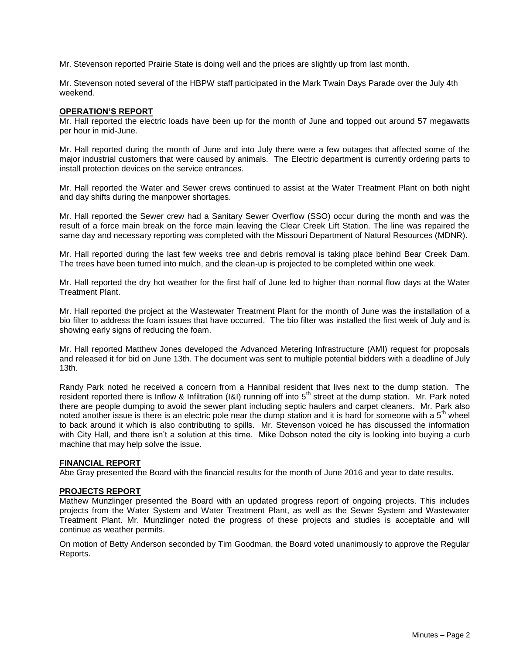Mr. Stevenson reported Prairie State is doing well and the prices are slightly up from last month.

Mr. Stevenson noted several of the HBPW staff participated in the Mark Twain Days Parade over the July 4th weekend.

## **OPERATION'S REPORT**

Mr. Hall reported the electric loads have been up for the month of June and topped out around 57 megawatts per hour in mid-June.

Mr. Hall reported during the month of June and into July there were a few outages that affected some of the major industrial customers that were caused by animals. The Electric department is currently ordering parts to install protection devices on the service entrances.

Mr. Hall reported the Water and Sewer crews continued to assist at the Water Treatment Plant on both night and day shifts during the manpower shortages.

Mr. Hall reported the Sewer crew had a Sanitary Sewer Overflow (SSO) occur during the month and was the result of a force main break on the force main leaving the Clear Creek Lift Station. The line was repaired the same day and necessary reporting was completed with the Missouri Department of Natural Resources (MDNR).

Mr. Hall reported during the last few weeks tree and debris removal is taking place behind Bear Creek Dam. The trees have been turned into mulch, and the clean-up is projected to be completed within one week.

Mr. Hall reported the dry hot weather for the first half of June led to higher than normal flow days at the Water Treatment Plant.

Mr. Hall reported the project at the Wastewater Treatment Plant for the month of June was the installation of a bio filter to address the foam issues that have occurred. The bio filter was installed the first week of July and is showing early signs of reducing the foam.

Mr. Hall reported Matthew Jones developed the Advanced Metering Infrastructure (AMI) request for proposals and released it for bid on June 13th. The document was sent to multiple potential bidders with a deadline of July 13th.

Randy Park noted he received a concern from a Hannibal resident that lives next to the dump station. The resident reported there is Inflow & Infiltration (I&I) running off into 5<sup>th</sup> street at the dump station. Mr. Park noted there are people dumping to avoid the sewer plant including septic haulers and carpet cleaners. Mr. Park also noted another issue is there is an electric pole near the dump station and it is hard for someone with a  $5<sup>th</sup>$  wheel to back around it which is also contributing to spills. Mr. Stevenson voiced he has discussed the information with City Hall, and there isn't a solution at this time. Mike Dobson noted the city is looking into buying a curb machine that may help solve the issue.

### **FINANCIAL REPORT**

Abe Gray presented the Board with the financial results for the month of June 2016 and year to date results.

#### **PROJECTS REPORT**

Mathew Munzlinger presented the Board with an updated progress report of ongoing projects. This includes projects from the Water System and Water Treatment Plant, as well as the Sewer System and Wastewater Treatment Plant. Mr. Munzlinger noted the progress of these projects and studies is acceptable and will continue as weather permits.

On motion of Betty Anderson seconded by Tim Goodman, the Board voted unanimously to approve the Regular Reports.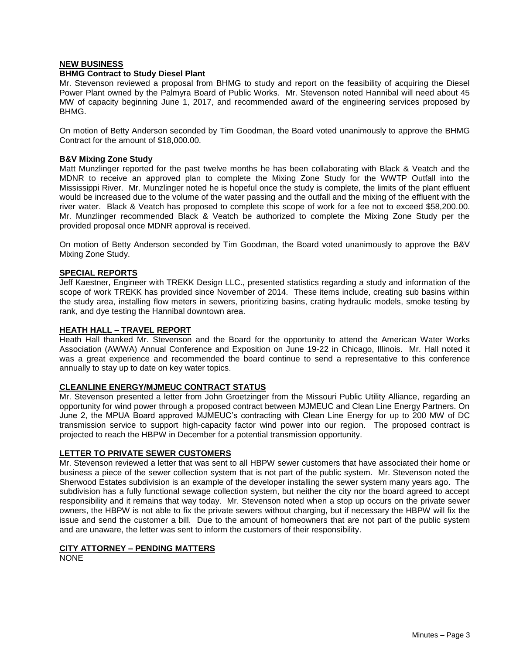## **NEW BUSINESS**

## **BHMG Contract to Study Diesel Plant**

Mr. Stevenson reviewed a proposal from BHMG to study and report on the feasibility of acquiring the Diesel Power Plant owned by the Palmyra Board of Public Works. Mr. Stevenson noted Hannibal will need about 45 MW of capacity beginning June 1, 2017, and recommended award of the engineering services proposed by BHMG.

On motion of Betty Anderson seconded by Tim Goodman, the Board voted unanimously to approve the BHMG Contract for the amount of \$18,000.00.

## **B&V Mixing Zone Study**

Matt Munzlinger reported for the past twelve months he has been collaborating with Black & Veatch and the MDNR to receive an approved plan to complete the Mixing Zone Study for the WWTP Outfall into the Mississippi River. Mr. Munzlinger noted he is hopeful once the study is complete, the limits of the plant effluent would be increased due to the volume of the water passing and the outfall and the mixing of the effluent with the river water. Black & Veatch has proposed to complete this scope of work for a fee not to exceed \$58,200.00. Mr. Munzlinger recommended Black & Veatch be authorized to complete the Mixing Zone Study per the provided proposal once MDNR approval is received.

On motion of Betty Anderson seconded by Tim Goodman, the Board voted unanimously to approve the B&V Mixing Zone Study.

## **SPECIAL REPORTS**

Jeff Kaestner, Engineer with TREKK Design LLC., presented statistics regarding a study and information of the scope of work TREKK has provided since November of 2014. These items include, creating sub basins within the study area, installing flow meters in sewers, prioritizing basins, crating hydraulic models, smoke testing by rank, and dye testing the Hannibal downtown area.

#### **HEATH HALL – TRAVEL REPORT**

Heath Hall thanked Mr. Stevenson and the Board for the opportunity to attend the American Water Works Association (AWWA) Annual Conference and Exposition on June 19-22 in Chicago, Illinois. Mr. Hall noted it was a great experience and recommended the board continue to send a representative to this conference annually to stay up to date on key water topics.

# **CLEANLINE ENERGY/MJMEUC CONTRACT STATUS**

Mr. Stevenson presented a letter from John Groetzinger from the Missouri Public Utility Alliance, regarding an opportunity for wind power through a proposed contract between MJMEUC and Clean Line Energy Partners. On June 2, the MPUA Board approved MJMEUC's contracting with Clean Line Energy for up to 200 MW of DC transmission service to support high-capacity factor wind power into our region. The proposed contract is projected to reach the HBPW in December for a potential transmission opportunity.

#### **LETTER TO PRIVATE SEWER CUSTOMERS**

Mr. Stevenson reviewed a letter that was sent to all HBPW sewer customers that have associated their home or business a piece of the sewer collection system that is not part of the public system. Mr. Stevenson noted the Sherwood Estates subdivision is an example of the developer installing the sewer system many years ago. The subdivision has a fully functional sewage collection system, but neither the city nor the board agreed to accept responsibility and it remains that way today. Mr. Stevenson noted when a stop up occurs on the private sewer owners, the HBPW is not able to fix the private sewers without charging, but if necessary the HBPW will fix the issue and send the customer a bill. Due to the amount of homeowners that are not part of the public system and are unaware, the letter was sent to inform the customers of their responsibility.

## **CITY ATTORNEY – PENDING MATTERS**

NONE